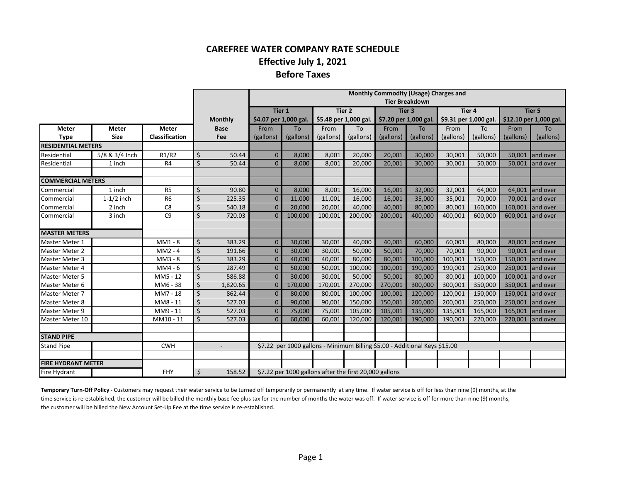## **CAREFREE WATER COMPANY RATE SCHEDULE Effective July 1, 2021 Before Taxes**

|                           |                |                |                    |                       | Monthly Commodity (Usage) Charges and                  |                       |           |                             |                                                                            |                       |           |                        |               |           |
|---------------------------|----------------|----------------|--------------------|-----------------------|--------------------------------------------------------|-----------------------|-----------|-----------------------------|----------------------------------------------------------------------------|-----------------------|-----------|------------------------|---------------|-----------|
|                           |                |                |                    |                       | <b>Tier Breakdown</b>                                  |                       |           |                             |                                                                            |                       |           |                        |               |           |
|                           |                |                |                    |                       |                                                        | Tier 1                |           | Tier 2<br>Tier <sub>3</sub> |                                                                            |                       | Tier 4    |                        | <b>Tier 5</b> |           |
|                           |                |                | <b>Monthly</b>     | \$4.07 per 1,000 gal. |                                                        | \$5.48 per 1,000 gal. |           | \$7.20 per 1,000 gal.       |                                                                            | \$9.31 per 1,000 gal. |           | \$12.10 per 1,000 gal. |               |           |
| <b>Meter</b>              | Meter          | <b>Meter</b>   |                    | <b>Base</b>           | From                                                   | To                    | From      | <b>To</b>                   | From                                                                       | To                    | From      | <b>To</b>              | From          | To        |
| <b>Type</b>               | <b>Size</b>    | Classification |                    | Fee                   | (gallons)                                              | (gallons)             | (gallons) | (gallons)                   | (gallons)                                                                  | (gallons)             | (gallons) | (gallons)              | (gallons)     | (gallons) |
| <b>RESIDENTIAL METERS</b> |                |                |                    |                       |                                                        |                       |           |                             |                                                                            |                       |           |                        |               |           |
| Residential               | 5/8 & 3/4 Inch | R1/R2          | \$                 | 50.44                 | $\Omega$                                               | 8,000                 | 8,001     | 20,000                      | 20,001                                                                     | 30,000                | 30,001    | 50,000                 | 50,001        | land over |
| Residential               | 1 inch         | R4             | \$                 | 50.44                 | $\Omega$                                               | 8,000                 | 8,001     | 20,000                      | 20,001                                                                     | 30,000                | 30,001    | 50,000                 | 50,001        | and over  |
|                           |                |                |                    |                       |                                                        |                       |           |                             |                                                                            |                       |           |                        |               |           |
| <b>COMMERCIAL METERS</b>  |                |                |                    |                       |                                                        |                       |           |                             |                                                                            |                       |           |                        |               |           |
| Commercial                | 1 inch         | R <sub>5</sub> | \$                 | 90.80                 | $\mathbf{0}$                                           | 8,000                 | 8.001     | 16,000                      | 16,001                                                                     | 32,000                | 32,001    | 64,000                 | 64,001        | land over |
| Commercial                | $1-1/2$ inch   | R <sub>6</sub> | $\zeta$            | 225.35                | $\Omega$                                               | 11,000                | 11,001    | 16,000                      | 16,001                                                                     | 35,000                | 35,001    | 70,000                 | 70,001        | and over  |
| Commercial                | 2 inch         | C <sub>8</sub> | $\zeta$            | 540.18                | $\Omega$                                               | 20,000                | 20,001    | 40,000                      | 40,001                                                                     | 80,000                | 80,001    | 160,000                | 160,001       | and over  |
| Commercial                | 3 inch         | C <sub>9</sub> | Ś.                 | 720.03                | $\Omega$                                               | 100,000               | 100,001   | 200,000                     | 200,001                                                                    | 400,000               | 400,001   | 600,000                | 600,001       | and over  |
|                           |                |                |                    |                       |                                                        |                       |           |                             |                                                                            |                       |           |                        |               |           |
| <b>MASTER METERS</b>      |                |                |                    |                       |                                                        |                       |           |                             |                                                                            |                       |           |                        |               |           |
| Master Meter 1            |                | $MM1 - 8$      | Ś.                 | 383.29                | $\Omega$                                               | 30,000                | 30,001    | 40.000                      | 40,001                                                                     | 60,000                | 60,001    | 80,000                 | 80,001        | and over  |
| Master Meter 2            |                | $MM2 - 4$      | Ś.                 | 191.66                | $\Omega$                                               | 30,000                | 30,001    | 50,000                      | 50,001                                                                     | 70,000                | 70,001    | 90.000                 | 90,001        | land over |
| Master Meter 3            |                | $MM3 - 8$      | \$                 | 383.29                | $\Omega$                                               | 40,000                | 40,001    | 80,000                      | 80,001                                                                     | 100,000               | 100,001   | 150,000                | 150,001       | and over  |
| Master Meter 4            |                | $MM4 - 6$      | Ś.                 | 287.49                | $\Omega$                                               | 50,000                | 50,001    | 100,000                     | 100,001                                                                    | 190,000               | 190,001   | 250,000                | 250,001       | and over  |
| <b>Master Meter 5</b>     |                | MM5 - 12       | $\mathsf{\dot{S}}$ | 586.88                | $\Omega$                                               | 30,000                | 30,001    | 50,000                      | 50,001                                                                     | 80,000                | 80,001    | 100,000                | 100,001       | and over  |
| Master Meter 6            |                | MM6 - 38       | \$                 | 1,820.65              | $\Omega$                                               | 170,000               | 170,001   | 270,000                     | 270,001                                                                    | 300,000               | 300,001   | 350,000                | 350,001       | land over |
| Master Meter 7            |                | MM7 - 18       | \$                 | 862.44                | $\Omega$                                               | 80,000                | 80,001    | 100,000                     | 100,001                                                                    | 120,000               | 120,001   | 150,000                | 150,001       | and over  |
| Master Meter 8            |                | MM8 - 11       | Ś.                 | 527.03                | $\Omega$                                               | 90,000                | 90,001    | 150,000                     | 150,001                                                                    | 200,000               | 200,001   | 250,000                | 250,001       | and over  |
| Master Meter 9            |                | MM9 - 11       | \$                 | 527.03                | $\Omega$                                               | 75,000                | 75,001    | 105,000                     | 105,001                                                                    | 135,000               | 135,001   | 165,000                | 165,001       | and over  |
| Master Meter 10           |                | MM10 - 11      | Ś.                 | 527.03                | $\Omega$                                               | 60,000                | 60,001    | 120,000                     | 120,001                                                                    | 190,000               | 190,001   | 220,000                | 220,001       | land over |
|                           |                |                |                    |                       |                                                        |                       |           |                             |                                                                            |                       |           |                        |               |           |
| <b>STAND PIPE</b>         |                |                |                    |                       |                                                        |                       |           |                             |                                                                            |                       |           |                        |               |           |
| <b>Stand Pipe</b>         |                | <b>CWH</b>     |                    |                       |                                                        |                       |           |                             | \$7.22 per 1000 gallons - Minimum Billing \$5.00 - Additional Keys \$15.00 |                       |           |                        |               |           |
|                           |                |                |                    |                       |                                                        |                       |           |                             |                                                                            |                       |           |                        |               |           |
| <b>FIRE HYDRANT METER</b> |                |                |                    |                       |                                                        |                       |           |                             |                                                                            |                       |           |                        |               |           |
| Fire Hydrant<br>FHY       |                |                | \$                 | 158.52                | \$7.22 per 1000 gallons after the first 20,000 gallons |                       |           |                             |                                                                            |                       |           |                        |               |           |

**Temporary Turn‐Off Policy** ‐ Customers may request their water service to be turned off temporarily or permanently at any time. If water service is off for less than nine (9) months, at the time service is re‐established, the customer will be billed the monthly base fee plus tax for the number of months the water was off. If water service is off for more than nine (9) months, the customer will be billed the New Account Set‐Up Fee at the time service is re‐established.